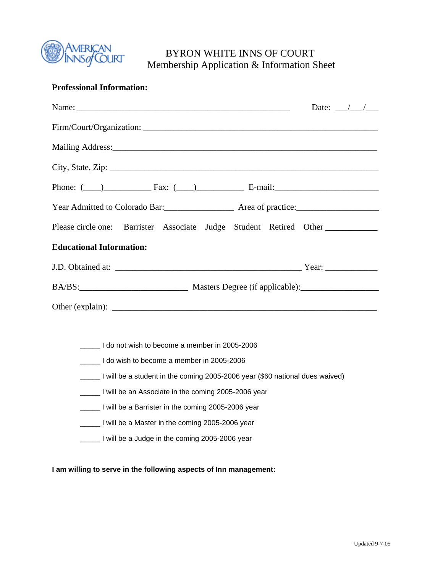

# BYRON WHITE INNS OF COURT Membership Application & Information Sheet

## **Professional Information:**

|                                                                                                                | Date: $\frac{\sqrt{1-\frac{1}{2}}}{\sqrt{1-\frac{1}{2}}}$ |
|----------------------------------------------------------------------------------------------------------------|-----------------------------------------------------------|
|                                                                                                                |                                                           |
| Mailing Address: 1988 and 2008 and 2008 and 2008 and 2008 and 2008 and 2008 and 2008 and 2008 and 2008 and 200 |                                                           |
|                                                                                                                |                                                           |
| Phone: $(\_\_)$ Fax: $(\_\_)$ Fax: E-mail:                                                                     |                                                           |
|                                                                                                                |                                                           |
| Please circle one: Barrister Associate Judge Student Retired Other                                             |                                                           |
| <b>Educational Information:</b>                                                                                |                                                           |
|                                                                                                                |                                                           |
|                                                                                                                |                                                           |
|                                                                                                                |                                                           |
|                                                                                                                |                                                           |

\_\_\_\_\_ I do not wish to become a member in 2005-2006

\_\_\_\_\_ I do wish to become a member in 2005-2006

- \_\_\_\_\_ I will be a student in the coming 2005-2006 year (\$60 national dues waived)
- \_\_\_\_\_ I will be an Associate in the coming 2005-2006 year
- \_\_\_\_\_ I will be a Barrister in the coming 2005-2006 year
- \_\_\_\_\_ I will be a Master in the coming 2005-2006 year
- \_\_\_\_\_ I will be a Judge in the coming 2005-2006 year

**I am willing to serve in the following aspects of Inn management:**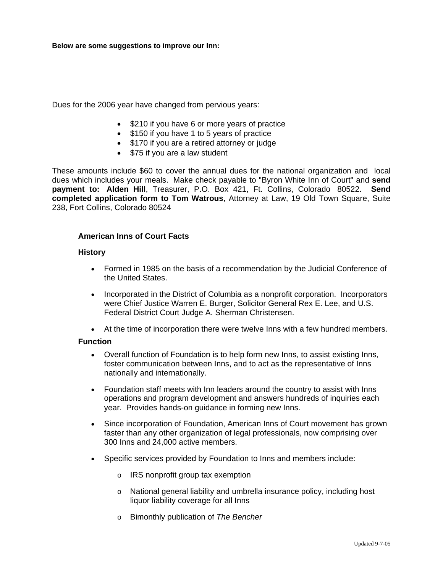Dues for the 2006 year have changed from pervious years:

- \$210 if you have 6 or more years of practice
- \$150 if you have 1 to 5 years of practice
- \$170 if you are a retired attorney or judge
- \$75 if you are a law student

These amounts include \$60 to cover the annual dues for the national organization and local dues which includes your meals. Make check payable to "Byron White Inn of Court" and **send payment to: Alden Hill**, Treasurer, P.O. Box 421, Ft. Collins, Colorado 80522. **Send completed application form to Tom Watrous**, Attorney at Law, 19 Old Town Square, Suite 238, Fort Collins, Colorado 80524

## **American Inns of Court Facts**

#### **History**

- Formed in 1985 on the basis of a recommendation by the Judicial Conference of the United States.
- Incorporated in the District of Columbia as a nonprofit corporation. Incorporators were Chief Justice Warren E. Burger, Solicitor General Rex E. Lee, and U.S. Federal District Court Judge A. Sherman Christensen.
- At the time of incorporation there were twelve Inns with a few hundred members.

#### **Function**

- Overall function of Foundation is to help form new Inns, to assist existing Inns, foster communication between Inns, and to act as the representative of Inns nationally and internationally.
- Foundation staff meets with Inn leaders around the country to assist with Inns operations and program development and answers hundreds of inquiries each year. Provides hands-on guidance in forming new Inns.
- Since incorporation of Foundation, American Inns of Court movement has grown faster than any other organization of legal professionals, now comprising over 300 Inns and 24,000 active members.
- Specific services provided by Foundation to Inns and members include:
	- o IRS nonprofit group tax exemption
	- o National general liability and umbrella insurance policy, including host liquor liability coverage for all Inns
	- o Bimonthly publication of *The Bencher*